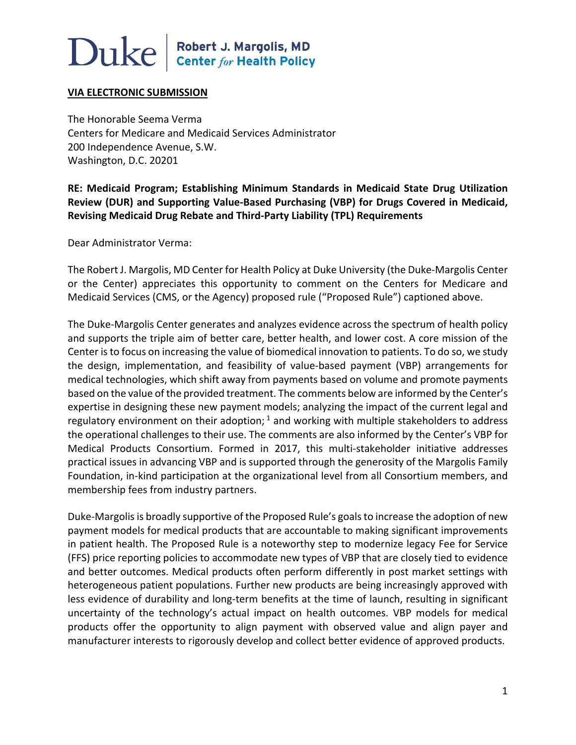### Duke| Robert J. Margolis, MD<br>Center for Health Policy

#### **VIA ELECTRONIC SUBMISSION**

The Honorable Seema Verma Centers for Medicare and Medicaid Services Administrator 200 Independence Avenue, S.W. Washington, D.C. 20201

**RE: Medicaid Program; Establishing Minimum Standards in Medicaid State Drug Utilization Review (DUR) and Supporting Value-Based Purchasing (VBP) for Drugs Covered in Medicaid, Revising Medicaid Drug Rebate and Third-Party Liability (TPL) Requirements** 

Dear Administrator Verma:

The Robert J. Margolis, MD Center for Health Policy at Duke University (the Duke-Margolis Center or the Center) appreciates this opportunity to comment on the Centers for Medicare and Medicaid Services (CMS, or the Agency) proposed rule ("Proposed Rule") captioned above.

The Duke-Margolis Center generates and analyzes evidence across the spectrum of health policy and supports the triple aim of better care, better health, and lower cost. A core mission of the Center is to focus on increasing the value of biomedical innovation to patients. To do so, we study the design, implementation, and feasibility of value-based payment (VBP) arrangements for medical technologies, which shift away from payments based on volume and promote payments based on the value of the provided treatment. The comments below are informed by the Center's expertise in designing these new payment models; analyzing the impact of the current legal and regulatory environment on their adoption;  $1$  and working with multiple stakeholders to address the operational challenges to their use. The comments are also informed by the Center's VBP for Medical Products Consortium. Formed in 2017, this multi-stakeholder initiative addresses practical issues in advancing VBP and is supported through the generosity of the Margolis Family Foundation, in-kind participation at the organizational level from all Consortium members, and membership fees from industry partners.

Duke-Margolis is broadly supportive of the Proposed Rule's goals to increase the adoption of new payment models for medical products that are accountable to making significant improvements in patient health. The Proposed Rule is a noteworthy step to modernize legacy Fee for Service (FFS) price reporting policies to accommodate new types of VBP that are closely tied to evidence and better outcomes. Medical products often perform differently in post market settings with heterogeneous patient populations. Further new products are being increasingly approved with less evidence of durability and long-term benefits at the time of launch, resulting in significant uncertainty of the technology's actual impact on health outcomes. VBP models for medical products offer the opportunity to align payment with observed value and align payer and manufacturer interests to rigorously develop and collect better evidence of approved products.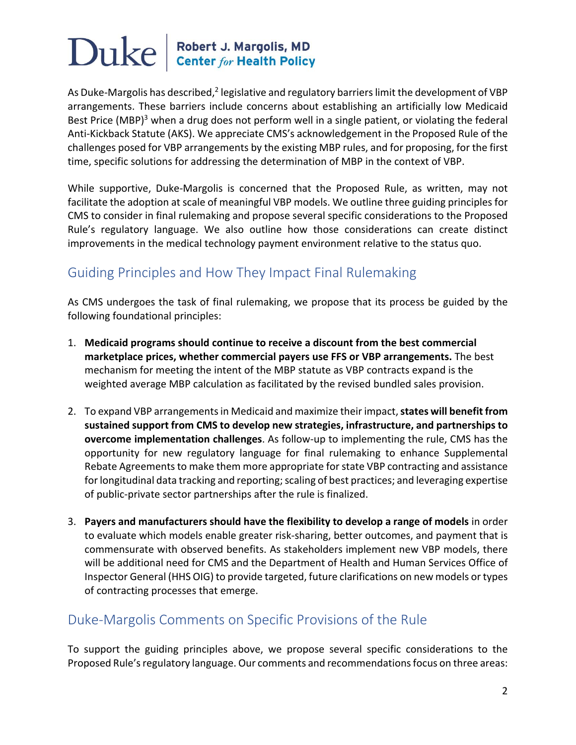## $\bf Duke \parallel^{Robert \, J. \, Margolis, \, MD}_{\, Center \, for \, Health \, Policy}$

As Duke-Margolis has described, $2$  legislative and regulatory barriers limit the development of VBP arrangements. These barriers include concerns about establishing an artificially low Medicaid Best Price (MBP) $3$  when a drug does not perform well in a single patient, or violating the federal Anti-Kickback Statute (AKS). We appreciate CMS's acknowledgement in the Proposed Rule of the challenges posed for VBP arrangements by the existing MBP rules, and for proposing, for the first time, specific solutions for addressing the determination of MBP in the context of VBP.

While supportive, Duke-Margolis is concerned that the Proposed Rule, as written, may not facilitate the adoption at scale of meaningful VBP models. We outline three guiding principles for CMS to consider in final rulemaking and propose several specific considerations to the Proposed Rule's regulatory language. We also outline how those considerations can create distinct improvements in the medical technology payment environment relative to the status quo.

### Guiding Principles and How They Impact Final Rulemaking

As CMS undergoes the task of final rulemaking, we propose that its process be guided by the following foundational principles:

- 1. **Medicaid programs should continue to receive a discount from the best commercial marketplace prices, whether commercial payers use FFS or VBP arrangements.** The best mechanism for meeting the intent of the MBP statute as VBP contracts expand is the weighted average MBP calculation as facilitated by the revised bundled sales provision.
- 2. To expand VBP arrangements in Medicaid and maximize their impact, **states will benefit from sustained support from CMS to develop new strategies, infrastructure, and partnerships to overcome implementation challenges**. As follow-up to implementing the rule, CMS has the opportunity for new regulatory language for final rulemaking to enhance Supplemental Rebate Agreements to make them more appropriate for state VBP contracting and assistance for longitudinal data tracking and reporting; scaling of best practices; and leveraging expertise of public-private sector partnerships after the rule is finalized.
- 3. **Payers and manufacturers should have the flexibility to develop a range of models** in order to evaluate which models enable greater risk-sharing, better outcomes, and payment that is commensurate with observed benefits. As stakeholders implement new VBP models, there will be additional need for CMS and the Department of Health and Human Services Office of Inspector General (HHS OIG) to provide targeted, future clarifications on new models or types of contracting processes that emerge.

### Duke-Margolis Comments on Specific Provisions of the Rule

To support the guiding principles above, we propose several specific considerations to the Proposed Rule's regulatory language. Our comments and recommendations focus on three areas: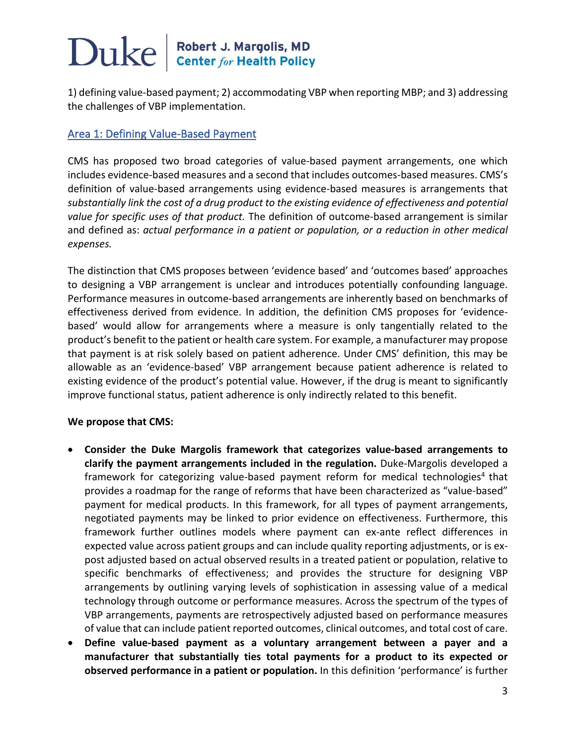## $\bf Duke \parallel^{Robert \, J. \, Margolis, \, MD}_{\, Center \, for \, Health \, Policy}$

1) defining value-based payment; 2) accommodating VBP when reporting MBP; and 3) addressing the challenges of VBP implementation.

#### Area 1: Defining Value-Based Payment

CMS has proposed two broad categories of value-based payment arrangements, one which includes evidence-based measures and a second that includes outcomes-based measures. CMS's definition of value-based arrangements using evidence-based measures is arrangements that *substantially link the cost of a drug product to the existing evidence of effectiveness and potential value for specific uses of that product.* The definition of outcome-based arrangement is similar and defined as: *actual performance in a patient or population, or a reduction in other medical expenses.*

The distinction that CMS proposes between 'evidence based' and 'outcomes based' approaches to designing a VBP arrangement is unclear and introduces potentially confounding language. Performance measures in outcome-based arrangements are inherently based on benchmarks of effectiveness derived from evidence. In addition, the definition CMS proposes for 'evidencebased' would allow for arrangements where a measure is only tangentially related to the product's benefit to the patient or health care system. For example, a manufacturer may propose that payment is at risk solely based on patient adherence. Under CMS' definition, this may be allowable as an 'evidence-based' VBP arrangement because patient adherence is related to existing evidence of the product's potential value. However, if the drug is meant to significantly improve functional status, patient adherence is only indirectly related to this benefit.

#### **We propose that CMS:**

- **Consider the Duke Margolis framework that categorizes value-based arrangements to clarify the payment arrangements included in the regulation.** Duke-Margolis developed a framework for categorizing value-based payment reform for medical technologies<sup>4</sup> that provides a roadmap for the range of reforms that have been characterized as "value-based" payment for medical products. In this framework, for all types of payment arrangements, negotiated payments may be linked to prior evidence on effectiveness. Furthermore, this framework further outlines models where payment can ex-ante reflect differences in expected value across patient groups and can include quality reporting adjustments, or is expost adjusted based on actual observed results in a treated patient or population, relative to specific benchmarks of effectiveness; and provides the structure for designing VBP arrangements by outlining varying levels of sophistication in assessing value of a medical technology through outcome or performance measures. Across the spectrum of the types of VBP arrangements, payments are retrospectively adjusted based on performance measures of value that can include patient reported outcomes, clinical outcomes, and total cost of care.
- **Define value-based payment as a voluntary arrangement between a payer and a manufacturer that substantially ties total payments for a product to its expected or observed performance in a patient or population.** In this definition 'performance' is further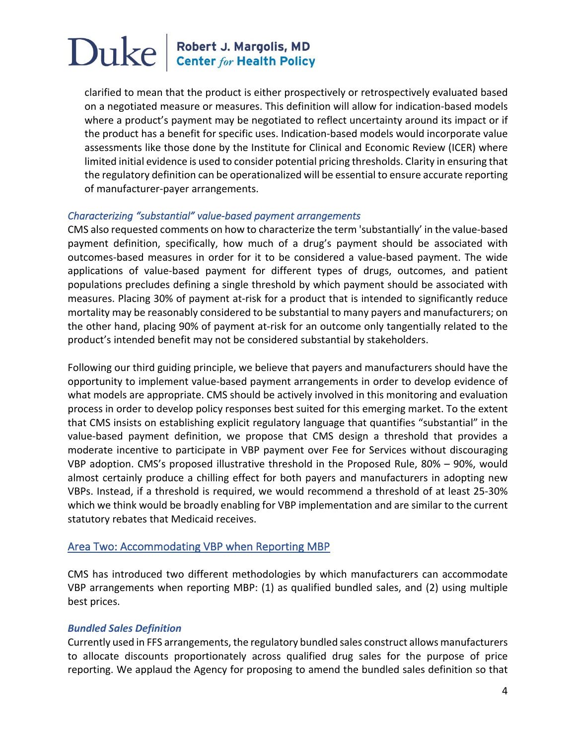clarified to mean that the product is either prospectively or retrospectively evaluated based on a negotiated measure or measures. This definition will allow for indication-based models where a product's payment may be negotiated to reflect uncertainty around its impact or if the product has a benefit for specific uses. Indication-based models would incorporate value assessments like those done by the Institute for Clinical and Economic Review (ICER) where limited initial evidence is used to consider potential pricing thresholds. Clarity in ensuring that the regulatory definition can be operationalized will be essential to ensure accurate reporting of manufacturer-payer arrangements.

#### *Characterizing "substantial" value-based payment arrangements*

CMS also requested comments on how to characterize the term 'substantially' in the value-based payment definition, specifically, how much of a drug's payment should be associated with outcomes-based measures in order for it to be considered a value-based payment. The wide applications of value-based payment for different types of drugs, outcomes, and patient populations precludes defining a single threshold by which payment should be associated with measures. Placing 30% of payment at-risk for a product that is intended to significantly reduce mortality may be reasonably considered to be substantial to many payers and manufacturers; on the other hand, placing 90% of payment at-risk for an outcome only tangentially related to the product's intended benefit may not be considered substantial by stakeholders.

Following our third guiding principle, we believe that payers and manufacturers should have the opportunity to implement value-based payment arrangements in order to develop evidence of what models are appropriate. CMS should be actively involved in this monitoring and evaluation process in order to develop policy responses best suited for this emerging market. To the extent that CMS insists on establishing explicit regulatory language that quantifies "substantial" in the value-based payment definition, we propose that CMS design a threshold that provides a moderate incentive to participate in VBP payment over Fee for Services without discouraging VBP adoption. CMS's proposed illustrative threshold in the Proposed Rule, 80% – 90%, would almost certainly produce a chilling effect for both payers and manufacturers in adopting new VBPs. Instead, if a threshold is required, we would recommend a threshold of at least 25-30% which we think would be broadly enabling for VBP implementation and are similar to the current statutory rebates that Medicaid receives.

### Area Two: Accommodating VBP when Reporting MBP

CMS has introduced two different methodologies by which manufacturers can accommodate VBP arrangements when reporting MBP: (1) as qualified bundled sales, and (2) using multiple best prices.

#### *Bundled Sales Definition*

Currently used in FFS arrangements, the regulatory bundled sales construct allows manufacturers to allocate discounts proportionately across qualified drug sales for the purpose of price reporting. We applaud the Agency for proposing to amend the bundled sales definition so that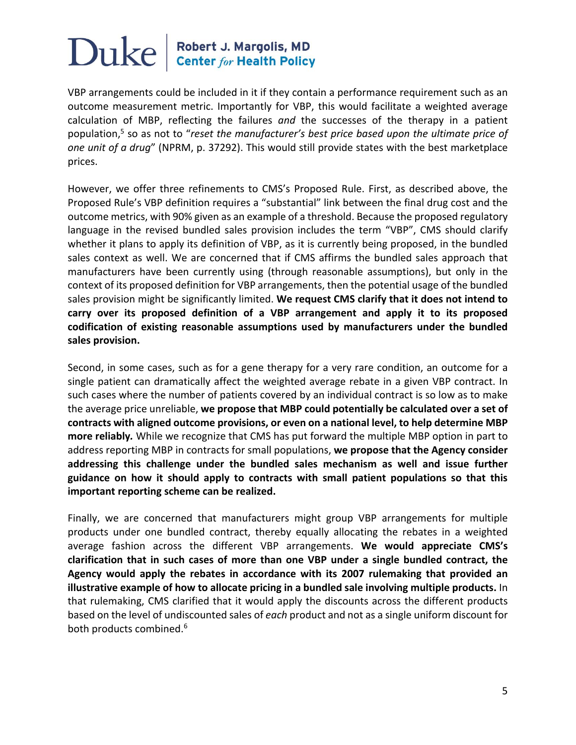### $\sum$ U $ke$  Robert J. Margolis, MD

VBP arrangements could be included in it if they contain a performance requirement such as an outcome measurement metric. Importantly for VBP, this would facilitate a weighted average calculation of MBP, reflecting the failures *and* the successes of the therapy in a patient population,5 so as not to "*reset the manufacturer's best price based upon the ultimate price of one unit of a drug*" (NPRM, p. 37292). This would still provide states with the best marketplace prices.

However, we offer three refinements to CMS's Proposed Rule. First, as described above, the Proposed Rule's VBP definition requires a "substantial" link between the final drug cost and the outcome metrics, with 90% given as an example of a threshold. Because the proposed regulatory language in the revised bundled sales provision includes the term "VBP", CMS should clarify whether it plans to apply its definition of VBP, as it is currently being proposed, in the bundled sales context as well. We are concerned that if CMS affirms the bundled sales approach that manufacturers have been currently using (through reasonable assumptions), but only in the context of its proposed definition for VBP arrangements, then the potential usage of the bundled sales provision might be significantly limited. **We request CMS clarify that it does not intend to carry over its proposed definition of a VBP arrangement and apply it to its proposed codification of existing reasonable assumptions used by manufacturers under the bundled sales provision.**

Second, in some cases, such as for a gene therapy for a very rare condition, an outcome for a single patient can dramatically affect the weighted average rebate in a given VBP contract. In such cases where the number of patients covered by an individual contract is so low as to make the average price unreliable, **we propose that MBP could potentially be calculated over a set of contracts with aligned outcome provisions, or even on a national level, to help determine MBP more reliably***.* While we recognize that CMS has put forward the multiple MBP option in part to address reporting MBP in contracts for small populations, **we propose that the Agency consider addressing this challenge under the bundled sales mechanism as well and issue further guidance on how it should apply to contracts with small patient populations so that this important reporting scheme can be realized.**

Finally, we are concerned that manufacturers might group VBP arrangements for multiple products under one bundled contract, thereby equally allocating the rebates in a weighted average fashion across the different VBP arrangements. **We would appreciate CMS's clarification that in such cases of more than one VBP under a single bundled contract, the Agency would apply the rebates in accordance with its 2007 rulemaking that provided an illustrative example of how to allocate pricing in a bundled sale involving multiple products.** In that rulemaking, CMS clarified that it would apply the discounts across the different products based on the level of undiscounted sales of *each* product and not as a single uniform discount for both products combined.<sup>6</sup>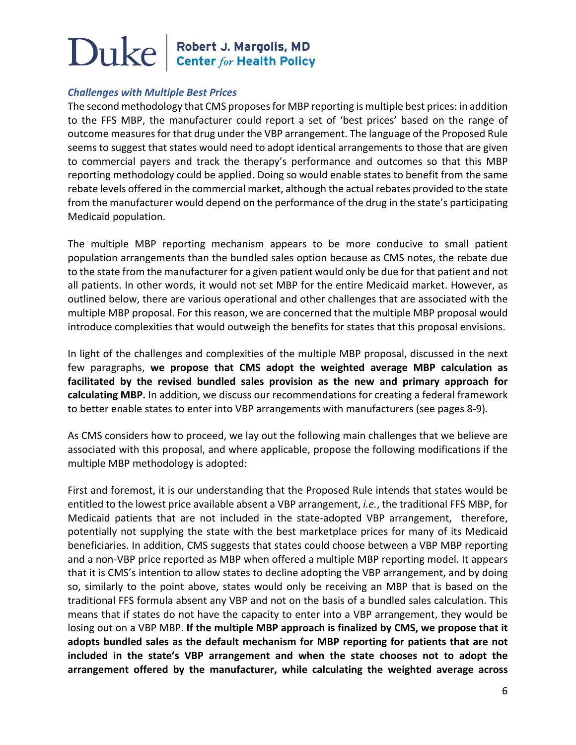## $\bf Duke \parallel^{Robert \, J. \, Margolis, \, MD}_{\, Center \, for \, Health \, Policy}$

#### *Challenges with Multiple Best Prices*

The second methodology that CMS proposes for MBP reporting is multiple best prices: in addition to the FFS MBP, the manufacturer could report a set of 'best prices' based on the range of outcome measures for that drug under the VBP arrangement. The language of the Proposed Rule seems to suggest that states would need to adopt identical arrangements to those that are given to commercial payers and track the therapy's performance and outcomes so that this MBP reporting methodology could be applied. Doing so would enable states to benefit from the same rebate levels offered in the commercial market, although the actual rebates provided to the state from the manufacturer would depend on the performance of the drug in the state's participating Medicaid population.

The multiple MBP reporting mechanism appears to be more conducive to small patient population arrangements than the bundled sales option because as CMS notes, the rebate due to the state from the manufacturer for a given patient would only be due for that patient and not all patients. In other words, it would not set MBP for the entire Medicaid market. However, as outlined below, there are various operational and other challenges that are associated with the multiple MBP proposal. For this reason, we are concerned that the multiple MBP proposal would introduce complexities that would outweigh the benefits for states that this proposal envisions.

In light of the challenges and complexities of the multiple MBP proposal, discussed in the next few paragraphs, **we propose that CMS adopt the weighted average MBP calculation as facilitated by the revised bundled sales provision as the new and primary approach for calculating MBP.** In addition, we discuss our recommendations for creating a federal framework to better enable states to enter into VBP arrangements with manufacturers (see pages 8-9).

As CMS considers how to proceed, we lay out the following main challenges that we believe are associated with this proposal, and where applicable, propose the following modifications if the multiple MBP methodology is adopted:

First and foremost, it is our understanding that the Proposed Rule intends that states would be entitled to the lowest price available absent a VBP arrangement, *i.e.*, the traditional FFS MBP, for Medicaid patients that are not included in the state-adopted VBP arrangement, therefore, potentially not supplying the state with the best marketplace prices for many of its Medicaid beneficiaries. In addition, CMS suggests that states could choose between a VBP MBP reporting and a non-VBP price reported as MBP when offered a multiple MBP reporting model. It appears that it is CMS's intention to allow states to decline adopting the VBP arrangement, and by doing so, similarly to the point above, states would only be receiving an MBP that is based on the traditional FFS formula absent any VBP and not on the basis of a bundled sales calculation. This means that if states do not have the capacity to enter into a VBP arrangement, they would be losing out on a VBP MBP. **If the multiple MBP approach is finalized by CMS, we propose that it adopts bundled sales as the default mechanism for MBP reporting for patients that are not included in the state's VBP arrangement and when the state chooses not to adopt the arrangement offered by the manufacturer, while calculating the weighted average across**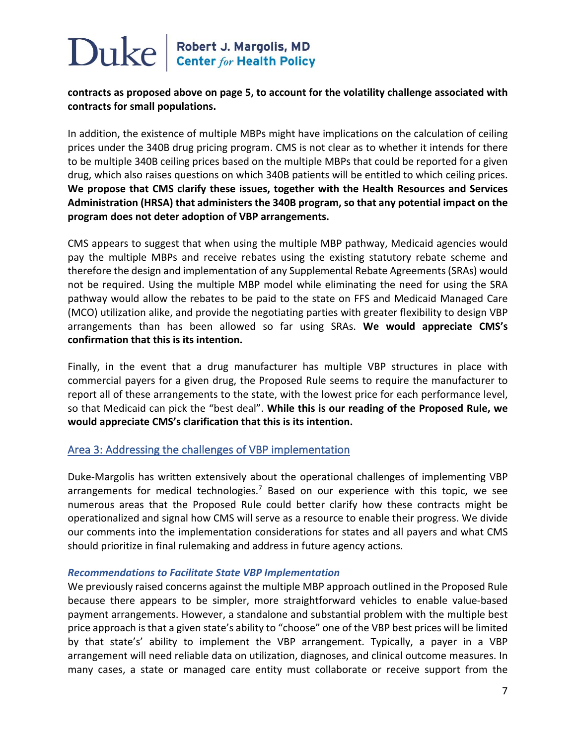#### **contracts as proposed above on page 5, to account for the volatility challenge associated with contracts for small populations.**

In addition, the existence of multiple MBPs might have implications on the calculation of ceiling prices under the 340B drug pricing program. CMS is not clear as to whether it intends for there to be multiple 340B ceiling prices based on the multiple MBPs that could be reported for a given drug, which also raises questions on which 340B patients will be entitled to which ceiling prices. **We propose that CMS clarify these issues, together with the Health Resources and Services Administration (HRSA) that administers the 340B program, so that any potential impact on the program does not deter adoption of VBP arrangements.**

CMS appears to suggest that when using the multiple MBP pathway, Medicaid agencies would pay the multiple MBPs and receive rebates using the existing statutory rebate scheme and therefore the design and implementation of any Supplemental Rebate Agreements (SRAs) would not be required. Using the multiple MBP model while eliminating the need for using the SRA pathway would allow the rebates to be paid to the state on FFS and Medicaid Managed Care (MCO) utilization alike, and provide the negotiating parties with greater flexibility to design VBP arrangements than has been allowed so far using SRAs. **We would appreciate CMS's confirmation that this is its intention.** 

Finally, in the event that a drug manufacturer has multiple VBP structures in place with commercial payers for a given drug, the Proposed Rule seems to require the manufacturer to report all of these arrangements to the state, with the lowest price for each performance level, so that Medicaid can pick the "best deal". **While this is our reading of the Proposed Rule, we would appreciate CMS's clarification that this is its intention.**

#### Area 3: Addressing the challenges of VBP implementation

Duke-Margolis has written extensively about the operational challenges of implementing VBP arrangements for medical technologies.<sup>7</sup> Based on our experience with this topic, we see numerous areas that the Proposed Rule could better clarify how these contracts might be operationalized and signal how CMS will serve as a resource to enable their progress. We divide our comments into the implementation considerations for states and all payers and what CMS should prioritize in final rulemaking and address in future agency actions.

#### *Recommendations to Facilitate State VBP Implementation*

We previously raised concerns against the multiple MBP approach outlined in the Proposed Rule because there appears to be simpler, more straightforward vehicles to enable value-based payment arrangements. However, a standalone and substantial problem with the multiple best price approach is that a given state's ability to "choose" one of the VBP best prices will be limited by that state's' ability to implement the VBP arrangement. Typically, a payer in a VBP arrangement will need reliable data on utilization, diagnoses, and clinical outcome measures. In many cases, a state or managed care entity must collaborate or receive support from the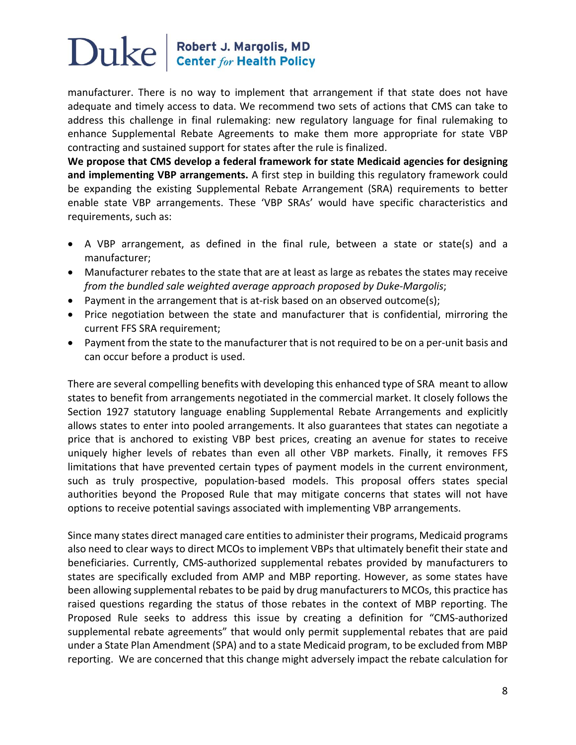manufacturer. There is no way to implement that arrangement if that state does not have adequate and timely access to data. We recommend two sets of actions that CMS can take to address this challenge in final rulemaking: new regulatory language for final rulemaking to enhance Supplemental Rebate Agreements to make them more appropriate for state VBP contracting and sustained support for states after the rule is finalized.

**We propose that CMS develop a federal framework for state Medicaid agencies for designing and implementing VBP arrangements.** A first step in building this regulatory framework could be expanding the existing Supplemental Rebate Arrangement (SRA) requirements to better enable state VBP arrangements. These 'VBP SRAs' would have specific characteristics and requirements, such as:

- A VBP arrangement, as defined in the final rule, between a state or state(s) and a manufacturer;
- Manufacturer rebates to the state that are at least as large as rebates the states may receive *from the bundled sale weighted average approach proposed by Duke-Margolis*;
- Payment in the arrangement that is at-risk based on an observed outcome(s);
- Price negotiation between the state and manufacturer that is confidential, mirroring the current FFS SRA requirement;
- Payment from the state to the manufacturer that is not required to be on a per-unit basis and can occur before a product is used.

There are several compelling benefits with developing this enhanced type of SRA meant to allow states to benefit from arrangements negotiated in the commercial market. It closely follows the Section 1927 statutory language enabling Supplemental Rebate Arrangements and explicitly allows states to enter into pooled arrangements. It also guarantees that states can negotiate a price that is anchored to existing VBP best prices, creating an avenue for states to receive uniquely higher levels of rebates than even all other VBP markets. Finally, it removes FFS limitations that have prevented certain types of payment models in the current environment, such as truly prospective, population-based models. This proposal offers states special authorities beyond the Proposed Rule that may mitigate concerns that states will not have options to receive potential savings associated with implementing VBP arrangements.

Since many states direct managed care entities to administer their programs, Medicaid programs also need to clear ways to direct MCOs to implement VBPs that ultimately benefit their state and beneficiaries. Currently, CMS-authorized supplemental rebates provided by manufacturers to states are specifically excluded from AMP and MBP reporting. However, as some states have been allowing supplemental rebates to be paid by drug manufacturers to MCOs, this practice has raised questions regarding the status of those rebates in the context of MBP reporting. The Proposed Rule seeks to address this issue by creating a definition for "CMS-authorized supplemental rebate agreements" that would only permit supplemental rebates that are paid under a State Plan Amendment (SPA) and to a state Medicaid program, to be excluded from MBP reporting. We are concerned that this change might adversely impact the rebate calculation for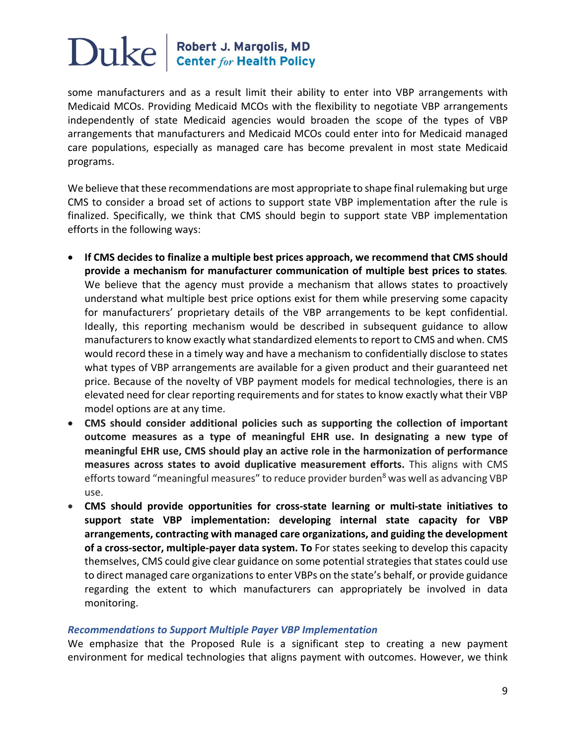some manufacturers and as a result limit their ability to enter into VBP arrangements with Medicaid MCOs. Providing Medicaid MCOs with the flexibility to negotiate VBP arrangements independently of state Medicaid agencies would broaden the scope of the types of VBP arrangements that manufacturers and Medicaid MCOs could enter into for Medicaid managed care populations, especially as managed care has become prevalent in most state Medicaid programs.

We believe that these recommendations are most appropriate to shape final rulemaking but urge CMS to consider a broad set of actions to support state VBP implementation after the rule is finalized. Specifically, we think that CMS should begin to support state VBP implementation efforts in the following ways:

- **If CMS decides to finalize a multiple best prices approach, we recommend that CMS should provide a mechanism for manufacturer communication of multiple best prices to states***.* We believe that the agency must provide a mechanism that allows states to proactively understand what multiple best price options exist for them while preserving some capacity for manufacturers' proprietary details of the VBP arrangements to be kept confidential. Ideally, this reporting mechanism would be described in subsequent guidance to allow manufacturers to know exactly what standardized elements to report to CMS and when. CMS would record these in a timely way and have a mechanism to confidentially disclose to states what types of VBP arrangements are available for a given product and their guaranteed net price. Because of the novelty of VBP payment models for medical technologies, there is an elevated need for clear reporting requirements and for states to know exactly what their VBP model options are at any time.
- **CMS should consider additional policies such as supporting the collection of important outcome measures as a type of meaningful EHR use. In designating a new type of meaningful EHR use, CMS should play an active role in the harmonization of performance measures across states to avoid duplicative measurement efforts.** This aligns with CMS efforts toward "meaningful measures" to reduce provider burden<sup>8</sup> was well as advancing VBP use.
- **CMS should provide opportunities for cross-state learning or multi-state initiatives to support state VBP implementation: developing internal state capacity for VBP arrangements, contracting with managed care organizations, and guiding the development of a cross-sector, multiple-payer data system. To** For states seeking to develop this capacity themselves, CMS could give clear guidance on some potential strategies that states could use to direct managed care organizations to enter VBPs on the state's behalf, or provide guidance regarding the extent to which manufacturers can appropriately be involved in data monitoring.

#### *Recommendations to Support Multiple Payer VBP Implementation*

We emphasize that the Proposed Rule is a significant step to creating a new payment environment for medical technologies that aligns payment with outcomes. However, we think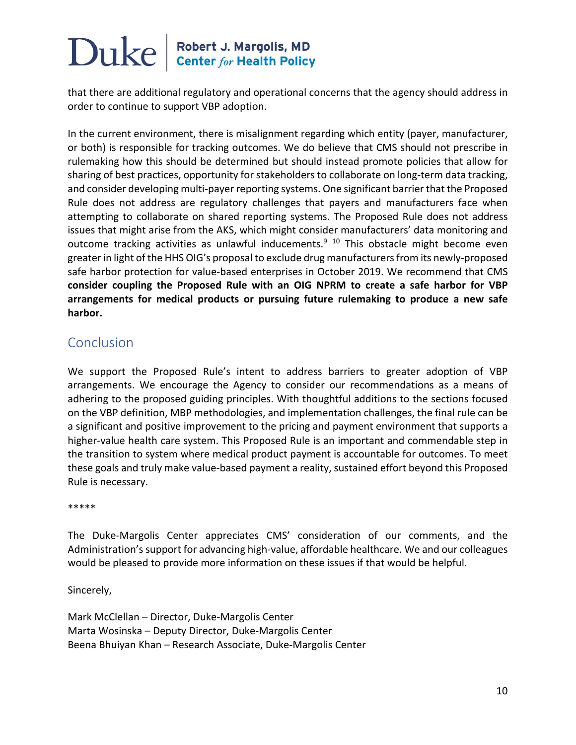that there are additional regulatory and operational concerns that the agency should address in order to continue to support VBP adoption.

In the current environment, there is misalignment regarding which entity (payer, manufacturer, or both) is responsible for tracking outcomes. We do believe that CMS should not prescribe in rulemaking how this should be determined but should instead promote policies that allow for sharing of best practices, opportunity for stakeholders to collaborate on long-term data tracking, and consider developing multi-payer reporting systems. One significant barrier that the Proposed Rule does not address are regulatory challenges that payers and manufacturers face when attempting to collaborate on shared reporting systems. The Proposed Rule does not address issues that might arise from the AKS, which might consider manufacturers' data monitoring and outcome tracking activities as unlawful inducements.<sup>9 10</sup> This obstacle might become even greater in light of the HHS OIG's proposal to exclude drug manufacturers from its newly-proposed safe harbor protection for value-based enterprises in October 2019. We recommend that CMS **consider coupling the Proposed Rule with an OIG NPRM to create a safe harbor for VBP arrangements for medical products or pursuing future rulemaking to produce a new safe harbor.** 

### Conclusion

We support the Proposed Rule's intent to address barriers to greater adoption of VBP arrangements. We encourage the Agency to consider our recommendations as a means of adhering to the proposed guiding principles. With thoughtful additions to the sections focused on the VBP definition, MBP methodologies, and implementation challenges, the final rule can be a significant and positive improvement to the pricing and payment environment that supports a higher-value health care system. This Proposed Rule is an important and commendable step in the transition to system where medical product payment is accountable for outcomes. To meet these goals and truly make value-based payment a reality, sustained effort beyond this Proposed Rule is necessary.

\*\*\*\*\*

The Duke-Margolis Center appreciates CMS' consideration of our comments, and the Administration's support for advancing high-value, affordable healthcare. We and our colleagues would be pleased to provide more information on these issues if that would be helpful.

Sincerely,

Mark McClellan – Director, Duke-Margolis Center Marta Wosinska – Deputy Director, Duke-Margolis Center Beena Bhuiyan Khan – Research Associate, Duke-Margolis Center